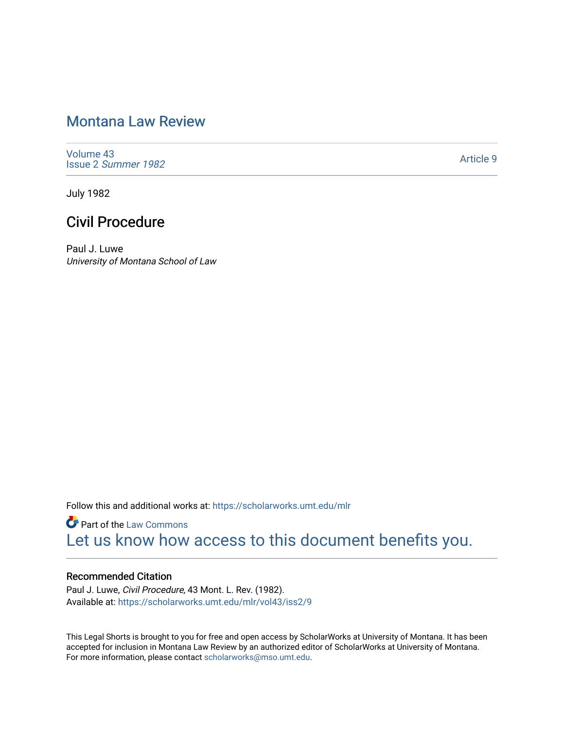# [Montana Law Review](https://scholarworks.umt.edu/mlr)

[Volume 43](https://scholarworks.umt.edu/mlr/vol43) Issue 2 [Summer 1982](https://scholarworks.umt.edu/mlr/vol43/iss2) 

[Article 9](https://scholarworks.umt.edu/mlr/vol43/iss2/9) 

July 1982

# Civil Procedure

Paul J. Luwe University of Montana School of Law

Follow this and additional works at: [https://scholarworks.umt.edu/mlr](https://scholarworks.umt.edu/mlr?utm_source=scholarworks.umt.edu%2Fmlr%2Fvol43%2Fiss2%2F9&utm_medium=PDF&utm_campaign=PDFCoverPages) 

**Part of the [Law Commons](http://network.bepress.com/hgg/discipline/578?utm_source=scholarworks.umt.edu%2Fmlr%2Fvol43%2Fiss2%2F9&utm_medium=PDF&utm_campaign=PDFCoverPages)** [Let us know how access to this document benefits you.](https://goo.gl/forms/s2rGfXOLzz71qgsB2) 

# Recommended Citation

Paul J. Luwe, Civil Procedure, 43 Mont. L. Rev. (1982). Available at: [https://scholarworks.umt.edu/mlr/vol43/iss2/9](https://scholarworks.umt.edu/mlr/vol43/iss2/9?utm_source=scholarworks.umt.edu%2Fmlr%2Fvol43%2Fiss2%2F9&utm_medium=PDF&utm_campaign=PDFCoverPages) 

This Legal Shorts is brought to you for free and open access by ScholarWorks at University of Montana. It has been accepted for inclusion in Montana Law Review by an authorized editor of ScholarWorks at University of Montana. For more information, please contact [scholarworks@mso.umt.edu.](mailto:scholarworks@mso.umt.edu)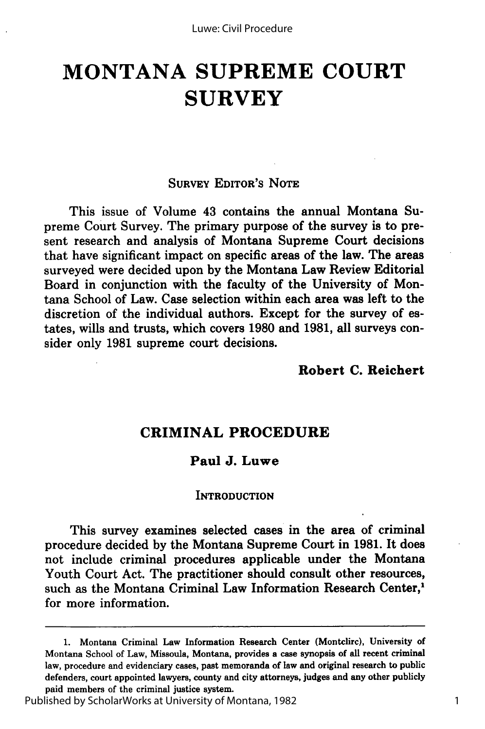# **MONTANA SUPREME COURT SURVEY**

#### SURVEY **EDITOR'S** NOTE

This issue of Volume 43 contains the annual Montana Supreme Court Survey. The primary purpose of the survey is to present research and analysis of Montana Supreme Court decisions that have significant impact on specific areas of the law. The areas surveyed were decided upon by the Montana Law Review Editorial Board in conjunction with the faculty of the University of Montana School of Law. Case selection within each area was left to the discretion of the individual authors. Except for the survey of estates, wills and trusts, which covers **1980** and 1981, all surveys consider only **1981** supreme court decisions.

# **Robert C. Reichert**

# CRIMINAL **PROCEDURE**

#### **Paul J. Luwe**

#### **INTRODUCTION**

This survey examines selected cases in the area of criminal procedure decided by the Montana Supreme Court in **1981.** It does not include criminal procedures applicable under the Montana Youth Court Act. The practitioner should consult other resources, such as the Montana Criminal Law Information Research Center,' for more information.

<sup>1.</sup> Montana Criminal Law Information Research Center (Montclirc), University of Montana School of Law, Missoula, Montana, provides a case synopsis of all recent criminal law, procedure and evidenciary cases, past memoranda of law and original research to public defenders, court appointed lawyers, county and city attorneys, judges and any other publicly paid members of the criminal justice system.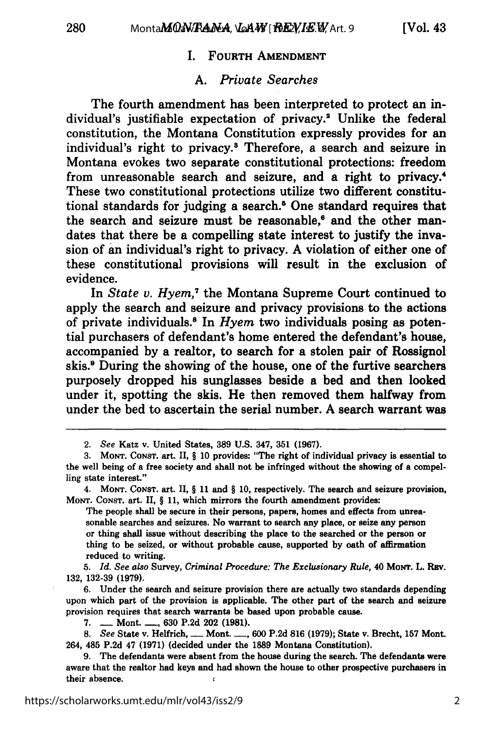### I. **FOURTH AMENDMENT**

### *A. Private Searches*

The fourth amendment has been interpreted to protect an individual's justifiable expectation of privacy.<sup>2</sup> Unlike the federal constitution, the Montana Constitution expressly provides for an individual's right to privacy.<sup>8</sup> Therefore, a search and seizure in Montana evokes two separate constitutional protections: freedom from unreasonable search and seizure, and a right to privacy. These two constitutional protections utilize two different constitutional standards for judging a search.<sup>5</sup> One standard requires that the search and seizure must be reasonable,<sup> $\epsilon$ </sup> and the other mandates that there be a compelling state interest to justify the invasion of an individual's right to privacy. **A** violation of either one of these constitutional provisions will result in the exclusion of evidence.

In *State v. Hyem,7* the Montana Supreme Court continued to apply the search and seizure and privacy provisions to the actions of private individuals.8 In *Hyem* two individuals posing as potential purchasers of defendant's home entered the defendant's house, accompanied **by** a realtor, to search for a stolen pair of Rossignol skis." During the showing of the house, one of the furtive searchers purposely dropped his sunglasses beside a bed and then looked under it, spotting the skis. He then removed them halfway from under the bed to ascertain the serial number. **A** search warrant was

The people shall be secure in their persons, papers, homes and effects from unreasonable searches and seizures. No warrant to search any place, or seize any person or thing shall issue without describing the place to the searched or the person or thing to be seized, or without probable cause, supported by oath of affirmation reduced to writing.

**5.** *Id. See also* Survey, *Criminal Procedure: The Exclusionary Rule,* 40 Morr. L. Rav. **132, 132-39 (1979).**

**6.** Under the search and seizure provision there are actually two standards depending upon which part of the provision is applicable. The other part of the search and seizure provision requires that search warrants be based upon probable cause.

7. **-** Mont. **-, 630** P.2d 202 **(1981).**

*8. See* State v. Helfrich, **-** Mont. **-, 600** P.2d **816 (1979);** State v. Brecht, **157** Mont. 264, 485 P.2d 47 **(1971)** (decided under the **1889** Montana Constitution).

<sup>2.</sup> *See* Katz v. United States, **389** U.S. 347, **351 (1967).**

<sup>3.</sup> **MONT.** CONST. art. II, § 10 provides: "The right of individual privacy is essential to the well being of a free society and shall not be infringed without the showing of a compelling state interest."

<sup>4.</sup> MONT. **CONST.** art. II, § 11 and § 10, respectively. The search and seizure provision, MONT. CONST. art. II, § 11, which mirrors the fourth amendment provides:

**<sup>9.</sup>** The defendants were absent from the house during the search. The defendants were aware that the realtor had keys and had shown the house to other prospective purchasers in their absence.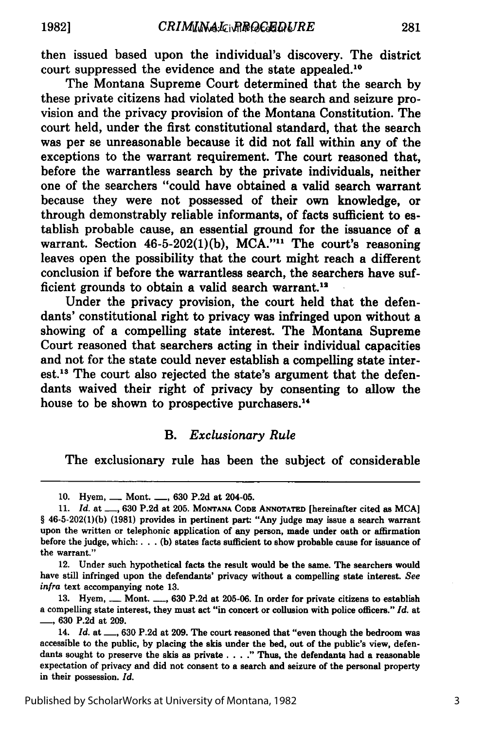then issued based upon the individual's discovery. The district court suppressed the evidence and the state appealed.10

The Montana Supreme Court determined that the search by these private citizens had violated both the search and seizure provision and the privacy provision of the Montana Constitution. The court held, under the first constitutional standard, that the search was per se unreasonable because it did not fall within any of the exceptions to the warrant requirement. The court reasoned that, before the warrantless search **by** the private individuals, neither one of the searchers "could have obtained a valid search warrant because they were not possessed of their own knowledge, or through demonstrably reliable informants, of facts sufficient to **es**tablish probable cause, an essential ground for the issuance of a warrant. Section **46-5-202(1)(b), MCA.""** The court's reasoning leaves open the possibility that the court might reach a different conclusion if before the warrantless search, the searchers have sufficient grounds to obtain a valid search warrant.<sup>12</sup>

Under the privacy provision, the court held that the defendants' constitutional right to privacy was infringed upon without a showing of a compelling state interest. The Montana Supreme Court reasoned that searchers acting in their individual capacities and not for the state could never establish a compelling state interest.<sup>13</sup> The court also rejected the state's argument that the defendants waived their right of privacy **by** consenting to allow the house to be shown to prospective purchasers.<sup>14</sup>

# *B. Exclusionary Rule*

The exclusionary rule has been the subject of considerable

12. Under such hypothetical facts the result would be the same. The searchers would have still infringed upon the defendants' privacy without a compelling state interest. *See infra* text accompanying note **13.**

**<sup>10.</sup>** Hyem, **-** Mont. **-, 630 P.2d** at 204-05.

**<sup>11.</sup>** *Id.* at **-, 630 P.2d** at **205. MONTANA CODE ANNOTATED** [hereinafter cited as **MCA]** § **46-5-202(1)(b) (1981)** provides in pertinent part: "Any judge may issue a search warrant upon the written or telephonic application of any person, made under oath or affirmation before the judge, which:. **.. (b)** states facts sufficient to show probable cause for issuance of the warrant."

**<sup>13.</sup>** Hyem, **-** Mont. **-, 630 P.2d** at **205-06.** In order for private citizens to establish a compelling state interest, they must act "in concert or collusion with police officers." *Id.* at -' **630 P.2d** at **209.**

<sup>14.</sup> *Id.* at **-, 630 P.2d** at **209.** The court reasoned that "even though the bedroom was accessible to the public, **by** placing the skis under the bed, out of the public's view, defendants sought to preserve the skis as private. . . **."** Thus, the defendants had a reasonable expectation of privacy and did not consent to a search and seizure of the personal property in their possession. *Id.*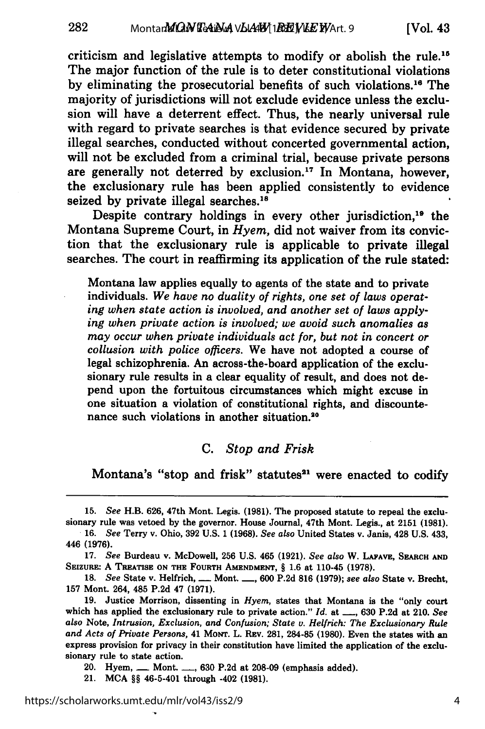criticism and legislative attempts to modify or abolish the rule."5 The major function of the rule is to deter constitutional violations **by** eliminating the prosecutorial benefits of such violations. 16 The majority of jurisdictions will not exclude evidence unless the exclusion will have a deterrent effect. Thus, the nearly universal rule with regard to private searches is that evidence secured **by** private illegal searches, conducted without concerted governmental action, will not be excluded from a criminal trial, because private persons are generally not deterred by exclusion.<sup>17</sup> In Montana, however, the exclusionary rule has been applied consistently to evidence seized by private illegal searches.<sup>18</sup>

Despite contrary holdings in every other jurisdiction,<sup>19</sup> the Montana Supreme Court, in *Hyem,* did not waiver from its conviction that the exclusionary rule is applicable to private illegal searches. The court in reaffirming its application of the rule stated:

Montana law applies equally to agents of the state and to private individuals. *We have no duality of rights, one set of laws operating when state action is involved, and another set of laws applying when private action is involved; we avoid such anomalies as may occur when private individuals act for, but not in concert or collusion with police officers.* We have not adopted a course of legal schizophrenia. An across-the-board application of the exclusionary rule results in a clear equality of result, and does not depend upon the fortuitous circumstances which might excuse in one situation a violation of constitutional rights, and discountenance such violations in another situation.<sup>20</sup>

#### *C. Stop and Frisk*

Montana's "stop and frisk" statutes<sup>21</sup> were enacted to codify

20. Hyem, **-** Mont. **-, 630 P.2d** at **208-09** (emphasis added).

21. **MCA §§** 46-5-401 through -402 **(1981).**

**<sup>15.</sup>** *See* H.B. **626,** 47th Mont. Legis. **(1981).** The proposed statute to repeal the exclusionary rule was vetoed by the governor. House Journal, 47th Mont. Legis., at 2151 (1981).<br>16. See Terry v. Ohio, 392 U.S. 1 (1968). See also United States v. Janis, 428 U.S. 433,

<sup>446</sup> **(1976).**

**<sup>17.</sup>** *See* Burdeau v. McDowell, **256 U.S.** 465 **(1921).** *See also* W. **LAFAVE, SEARCH AND** SEIZURE: A **TREATISE ON THE FOURTH AMENDMENT, § 1.6** at 110-45 **(1978).**

*<sup>18.</sup> See* State v. Helfrich, **-** Mont. **-, 600 P.2d 816 (1979);** *see also* State v. Brecht, **157** Mont. 264, 485 **P.2d** 47 **(1971).**

**<sup>19.</sup>** Justice Morrison, dissenting in *Hyem,* states that Montana is the "only court which has applied the exclusionary rule to private action." *Id.* at ..., 630 P.2d at 210. See *also* Note, *Intrusion, Exclusion, and Confusion; State v. Helfrich: The Exclusionary Rule and Acts of Private Persons,* 41 MONT. L. REV. **281, 284-85 (1980).** Even the states with an express provision for privacy in their constitution have limited the application of the exclusionary rule to state action.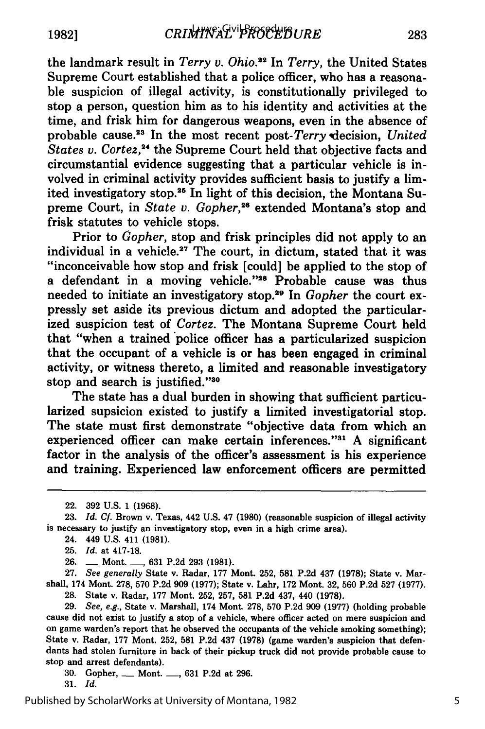the landmark result in *Terry v. Ohio.22* In *Terry,* the United States Supreme Court established that a police officer, who has a reasonable suspicion of illegal activity, is constitutionally privileged to stop a person, question him as to his identity and activities at the time, and frisk him for dangerous weapons, even in the absence of probable cause.<sup>23</sup> In the most recent post-Terry decision, United *States* v. *Cortez, <sup>2</sup>*the Supreme Court held that objective facts and circumstantial evidence suggesting that a particular vehicle is involved in criminal activity provides sufficient basis to justify a limited investigatory stop.<sup>25</sup> In light of this decision, the Montana Supreme Court, in *State v. Gopher*,<sup>26</sup> extended Montana's stop and frisk statutes to vehicle stops.

Prior to *Gopher,* stop and frisk principles did not apply to an individual in a vehicle.<sup>27</sup> The court, in dictum, stated that it was "inconceivable how stop and frisk [could] be applied to the stop of a defendant in a moving vehicle."<sup>28</sup> Probable cause was thus needed to initiate an investigatory stop.<sup>29</sup> In *Gopher* the court expressly set aside its previous dictum and adopted the particularized suspicion test of *Cortez.* The Montana Supreme Court held that "when a trained police officer has a particularized suspicion that the occupant of a vehicle is or has been engaged in criminal activity, or witness thereto, a limited and reasonable investigatory stop and search is justified."30

The state has a dual burden in showing that sufficient particularized supsicion existed to justify a limited investigatorial stop. The state must first demonstrate "objective data from which an experienced officer can make certain inferences."<sup>31</sup> A significant factor in the analysis of the officer's assessment is his experience and training. Experienced law enforcement officers are permitted

**25.** *Id.* at **417-18.**

**27.** *See generally* State v. Radar, **177** Mont. **252, 581 P.2d** 437 **(1978);** State v. Marshall, 174 Mont. **278, 570 P.2d 909 (1977);** State v. Lahr, **172** Mont. **32, 560 P.2d 527 (1977). 28.** State v. Radar, **177** Mont. **252, 257, 581 P.2d** 437, 440 **(1978).**

**29.** See, e.g., State v. Marshall, 174 Mont. **278, 570 P.2d 909 (1977)** (holding probable cause did not exist to justify a stop of a vehicle, where officer acted on mere suspicion and on game warden's report that he observed the occupants of the vehicle smoking something); State v. Radar, **177** Mont. **252, 581 P.2d** 437 **(1978)** (game warden's suspicion that defendants had stolen furniture in back of their pickup truck did not provide probable cause to stop and arrest defendants).

**30.** Gopher, **-** Mont. **-, 631 P.2d** at **296.**

**31.** *Id.*

<sup>22. 392</sup> U.S. 1 (1968).

<sup>23.</sup> *Id. Cf.* Brown v. Texas, 442 U.S. 47 **(1980)** (reasonable suspicion of illegal activity is necessary to justify an investigatory stop, even in a high crime area).

<sup>24. 449</sup> **U.S.** 411 **(1981).**

**<sup>26.</sup> -** Mont. **-, 631 P.2d 293 (1981).**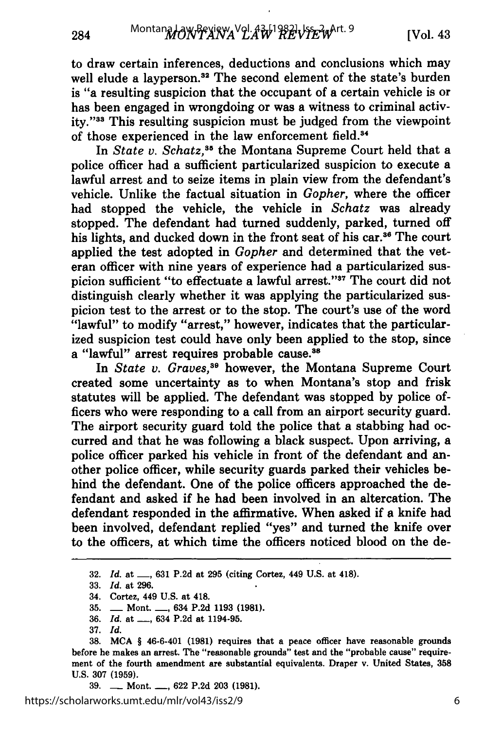to draw certain inferences, deductions and conclusions which may well elude a layperson.<sup>32</sup> The second element of the state's burden is "a resulting suspicion that the occupant of a certain vehicle is or has been engaged in wrongdoing or was a witness to criminal activity."33 This resulting suspicion must be judged from the viewpoint of those experienced in the law enforcement field.<sup>34</sup>

In *State v. Schatz,"8* the Montana Supreme Court held that a police officer had a sufficient particularized suspicion to execute a lawful arrest and to seize items in plain view from the defendant's vehicle. Unlike the factual situation in *Gopher,* where the officer had stopped the vehicle, the vehicle in *Schatz* was already stopped. The defendant had turned suddenly, parked, turned off his lights, and ducked down in the front seat of his car.<sup>36</sup> The court applied the test adopted in *Gopher* and determined that the veteran officer with nine years of experience had a particularized suspicion sufficient "to effectuate a lawful arrest."<sup>37</sup> The court did not distinguish clearly whether it was applying the particularized suspicion test to the arrest or to the stop. The court's use of the word "lawful" to modify "arrest," however, indicates that the particularized suspicion test could have only been applied to the stop, since a "lawful" arrest requires probable cause.<sup>38</sup>

In *State v. Graves,39* however, the Montana Supreme Court created some uncertainty as to when Montana's stop and frisk statutes will be applied. The defendant was stopped by police officers who were responding to a call from an airport security guard. The airport security guard told the police that a stabbing had occurred and that he was following a black suspect. Upon arriving, a police officer parked his vehicle in front of the defendant and another police officer, while security guards parked their vehicles behind the defendant. One of the police officers approached the defendant and asked if he had been involved in an altercation. The defendant responded in the affirmative. When asked if a knife had been involved, defendant replied "yes" and turned the knife over to the officers, at which time the officers noticed blood on the de-

284

<sup>32.</sup> *Id.* at **-,** 631 P.2d at 295 (citing Cortez, 449 U.S. at 418).

<sup>33.</sup> *Id.* at 296.

<sup>34.</sup> Cortez, 449 U.S. at 418.

<sup>35.</sup> **-** Mont. **-,** 634 P.2d 1193 (1981).

<sup>36.</sup> *Id.* at <u>...</u>, 634 P.2d at 1194-95.

<sup>37.</sup> *Id.*

**<sup>38.</sup> MCA** § 46-6-401 **(1981)** requires that a peace officer have reasonable grounds before he makes an arrest. The "reasonable grounds" test and the "probable cause" requirement of the fourth amendment are substantial equivalents. Draper v. United States, **358 U.S. 307 (1959).**

**<sup>39.</sup> -** Mont. **-, 622 P.2d 203 (1981).**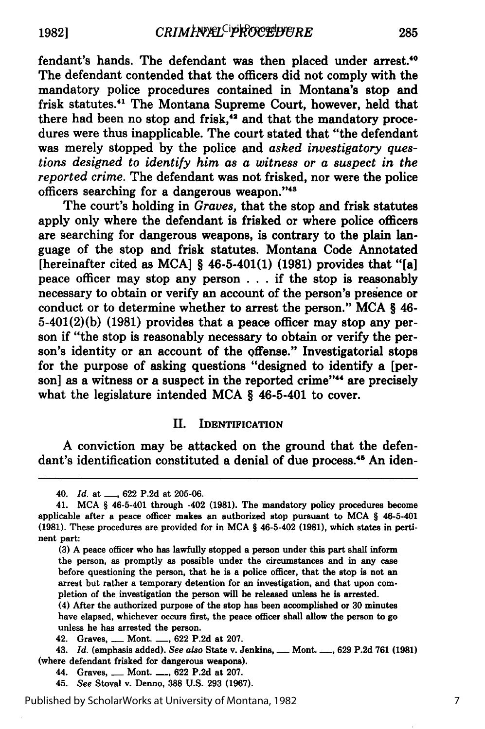fendant's hands. The defendant was then placed under arrest.'0 The defendant contended that the officers did not comply with the mandatory police procedures contained in Montana's stop and frisk statutes.<sup>41</sup> The Montana Supreme Court, however, held that there had been no stop and frisk,'4 and that the mandatory procedures were thus inapplicable. The court stated that "the defendant was merely stopped **by** the police and *asked investigatory questions designed to identify him as a witness or a suspect in the reported crime.* The defendant was not frisked, nor were the police officers searching for a dangerous weapon."'48

The court's holding in *Graves,* that the stop and frisk statutes apply only where the defendant is frisked or where police officers are searching for dangerous weapons, is contrary to the plain language of the stop and frisk statutes. Montana Code Annotated [hereinafter cited as **MCA]** § 46-5-401(1) **(1981)** provides that "[a] peace officer may stop any person **. ..** if the stop is reasonably necessary to obtain or verify an account of the person's presence or conduct or to determine whether to arrest the person." **MCA** § 46- 5-401(2)(b) **(1981)** provides that a peace officer may stop any person if "the stop is reasonably necessary to obtain or verify the person's identity or an account of the offense." Investigatorial stops for the purpose of asking questions "designed to identify a [person] as a witness or a suspect in the reported crime"<sup>44</sup> are precisely what the legislature intended **MCA** § 46-5-401 to cover.

#### II. **IDENTIFICATION**

**A** conviction may be attacked on the ground that the defendant's identification constituted a denial of due process.<sup>45</sup> An iden-

(4) After the authorized purpose of the stop has been accomplished or **30** minutes have elapsed, whichever occurs first, the peace officer shall allow the person to go unless he has arrested the person.

<sup>40.</sup> *Id.* at **-, 622 P.2d** at **205-06.**

<sup>41.</sup> **MCA** § 46-5-401 through -402 **(1981).** The mandatory policy procedures become applicable after a peace officer makes an authorized stop pursuant to **MCA** § 46-5-401 **(1981).** These procedures are provided for in **MCA** § 46-5-402 **(1981),** which states in pertinent part:

**<sup>(3)</sup> A** peace officer who has lawfully stopped a person under this part shall inform the person, as promptly as possible under the circumstances and in any case before questioning the person, that he is a police officer, that the stop is not an arrest but rather a temporary detention for an investigation, and that upon completion of the investigation the person will be released unless he is arrested.

<sup>42.</sup> Graves, **-** Mont. **-, 622 P.2d** at **207.**

<sup>43.</sup> *Id.* (emphasis added). *See also* State v. Jenkins, **-** Mont. **-, 629 P.2d 761 (1981)** (where defendant frisked for dangerous weapons).

<sup>44.</sup> Graves, **-** Mont. **-, 622 P.2d** at **207.**

<sup>45.</sup> *See* Stoval v. Denno, **388 U.S. 293 (1967).**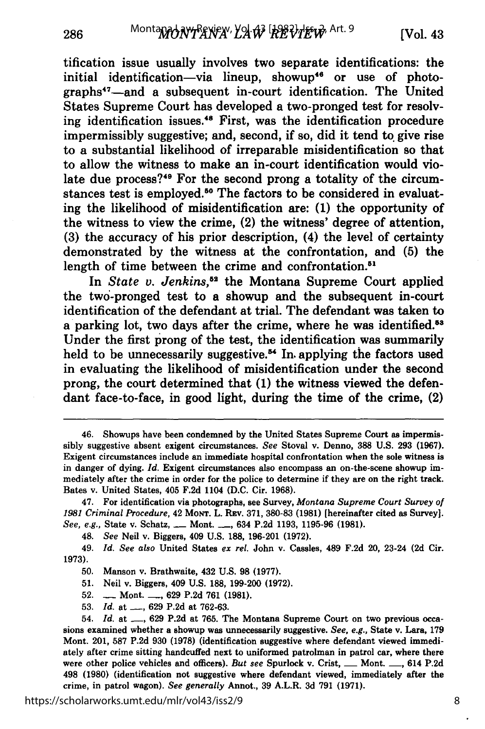tification issue usually involves two separate identifications: the initial identification-via lineup, showup<sup>46</sup> or use of photographs<sup>47</sup>—and a subsequent in-court identification. The United States Supreme Court has developed a two-pronged test for resolving identification issues.<sup>48</sup> First, was the identification procedure impermissibly suggestive; and, second, if so, did it tend to give rise to a substantial likelihood of irreparable misidentification so that to allow the witness to make an in-court identification would violate due process? $49$  For the second prong a totality of the circumstances test is employed.<sup>50</sup> The factors to be considered in evaluating the likelihood of misidentification are: **(1)** the opportunity of the witness to view the crime, (2) the witness' degree of attention, **(3)** the accuracy of his prior description, (4) the level of certainty demonstrated **by** the witness at the confrontation, and **(5)** the length of time between the crime and confrontation.<sup>51</sup>

In *State v. Jenkins*,<sup>52</sup> the Montana Supreme Court applied the two'-pronged test to a showup and the subsequent in-court identification of the defendant at trial. The defendant was taken to a parking lot, two days after the crime, where he was identified.<sup>53</sup> Under the first prong of the test, the identification was summarily held to be unnecessarily suggestive.<sup>54</sup> In applying the factors used in evaluating the likelihood of misidentification under the second prong, the court determined that **(1)** the witness viewed the defendant face-to-face, in good light, during the time of the crime, (2)

48. *See* Neil v. Biggers, 409 **U.S. 188, 196-201 (1972).**

49. *Id. See also* United States *ex rel.* John v. Cassles, 489 **F.2d** 20, 23-24 **(2d** Cir. **1973).**

**50.** Manson v. Brathwaite, 432 **U.S. 98 (1977).**

**51.** Neil v. Biggers, 409 **U.S. 188, 199-200 (1972).**

**52. -** Mont. **-, 629 P.2d 761 (1981).**

**53.** *Id.* at **-, 629 P.2d** at **762-63.**

<sup>46.</sup> Showups have been condemned **by** the United States Supreme Court as impermissibly suggestive absent exigent circumstances. *See* Stoval v. Denno, **388 U.S. 293 (1967).** Exigent circumstances include an immediate hospital confrontation when the sole witness is in danger of dying. *Id.* Exigent circumstances also encompass an on-the-scene showup immediately after the crime in order for the police to determine if they are on the right track. Bates v. United States, 405 **F.2d** 1104 **(D.C.** Cir. **1968).**

<sup>47.</sup> For identification via photographs, see Survey, *Montana Supreme Court Survey of 1981 Criminal Procedure,* 42 **MoNT.** L. **REv. 371, 380-83 (1981)** [hereinafter cited as Survey]. *See, e.g.,* State v. Schatz, **-** Mont. **-. ,** 634 **P.2d 1193, 1195-96 (1981).**

<sup>54.</sup> *Id.* at **-, 629 P.2d** at **765.** The Montana Supreme Court on two previous occasions examined whether a showup was unnecessarily suggestive. *See, e.g.,* State v. Lara, **179** Mont. 201, **587 P.2d 930 (1978)** (identification suggestive where defendant viewed immediately after crime sitting handcuffed next to uniformed patrolman in patrol car, where there were other police vehicles and officers). *But see* Spurlock v. Crist, **\_\_** Mont. **\_\_,** 614 **P.2d** 498 **(1980)** (identification not suggestive where defendant viewed, immediately after the crime, in patrol wagon). *See generally* Annot., **39** A.L.R. **3d 791 (1971).**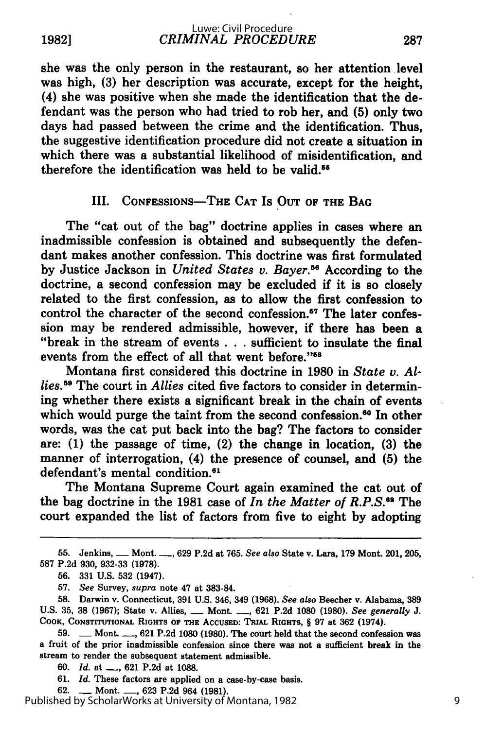**1982]**

she was the only person in the restaurant, so her attention level was high, **(3)** her description was accurate, except for the height, (4) she was positive when she made the identification that the defendant was the person who had tried to rob her, and **(5)** only two days had passed between the crime and the identification. Thus, the suggestive identification procedure did not create a situation in which there was a substantial likelihood of misidentification, and therefore the identification was held to be valid.

# III. **CONFESSIONS-THE CAT** IS **OUT** OF THE **BAG**

The "cat out of the bag" doctrine applies in cases where an inadmissible confession is obtained and subsequently the defendant makes another confession. This doctrine was first formulated **by** Justice Jackson in *United States v. Bayer.6* According to the doctrine, a second confession may be excluded if it is so closely related to the first confession, as to allow the first confession to control the character of the second confession.<sup>57</sup> The later confession may be rendered admissible, however, if there has been a "break in the stream of events **. . .** sufficient to insulate the final events from the effect of all that went before."58

Montana first considered this doctrine in **1980** in *State v. Allies."* The court in *Allies* cited five factors to consider in determining whether there exists a significant break in the chain of events which would purge the taint from the second confession.<sup>60</sup> In other words, was the cat put back into the bag? The factors to consider are: **(1)** the passage of time, (2) the change in location, **(3)** the manner of interrogation, (4) the presence of counsel, and **(5)** the defendant's mental condition.<sup>61</sup>

The Montana Supreme Court again examined the cat out of the bag doctrine in the **1981** case of *In the Matter of R.P.S.62* The court expanded the list of factors from five to eight **by** adopting

**55.** Jenkins, **-** Mont. **-, 629 P.2d** at **765.** See also State v. Lara, **179** Mont. 201, **205, 587 P.2d 930, 932-33 (1978).**

**60.** *Id.* at **-, 621 P.2d** at **1088.**

**61.** *Id.* These factors are applied on a case-by-case basis.

**62. -** Mont. **-, 623 P.2d** 964 **(1981).**

**<sup>56. 331</sup> U.S. 532** (1947).

**<sup>57.</sup>** See Survey, supra note 47 at **383-84.**

**<sup>58.</sup>** Darwin v. Connecticut, **391 U.S.** 346, 349 **(1968).** *See also* Beecher v. Alabama, **389 U.S. 35, 38 (1967);** State v. Allies, **-** Mont. **-, 621 P.2d 1080 (1980).** *See generally J.* COOK, **CONSTITUTIONAL** RIGHTS OF THE **ACCUSED:** TRIAL RIGHTS, § **97** at **362** (1974).

**<sup>59.</sup> -** Mont. **-, 621 P.2d 1080 (1980).** The court held that the second confession was a fruit of the prior inadmissible confession since there was not a sufficient break in the stream to render the subsequent statement admissible.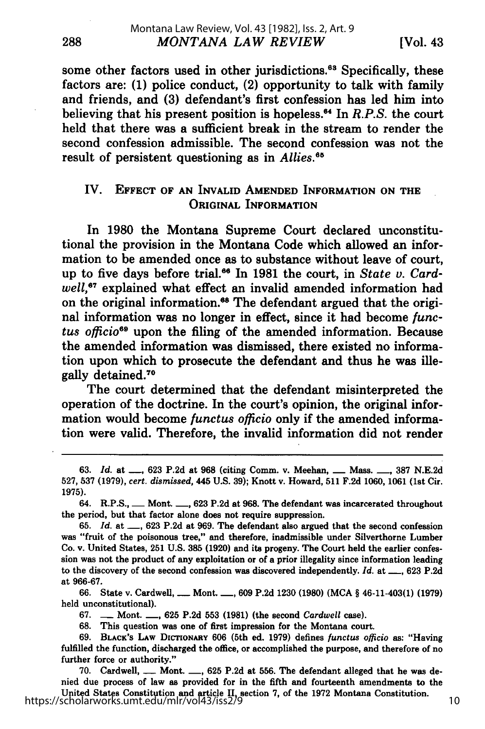some other factors used in other jurisdictions.<sup>63</sup> Specifically, these factors are: **(1)** police conduct, (2) opportunity to talk with family and friends, and **(3)** defendant's first confession has led him into believing that his present position is hopeless."' In *R.P.S.* the court held that there was a sufficient break in the stream to render the second confession admissible. The second confession was not the result of persistent questioning as in *Allies.'*

# IV. **EFFECT OF AN INVALID AMENDED INFORMATION ON THE ORIGINAL INFORMATION**

In **1980** the Montana Supreme Court declared unconstitutional the provision in the Montana Code which allowed an information to be amended once as to substance without leave of court, up to five days before trial.<sup>66</sup> In 1981 the court, in *State v. Cardwell,67* explained what effect an invalid amended information had on the original information.<sup>68</sup> The defendant argued that the original information was no longer in effect, since it had become *functus officio"9* upon the filing of the amended information. Because the amended information was dismissed, there existed no information upon which to prosecute the defendant and thus he was illegally detained.<sup>70</sup>

The court determined that the defendant misinterpreted the operation of the doctrine. In the court's opinion, the original information would become *functus officio* only if the amended information were valid. Therefore, the invalid information did not render

**66.** State v. Cardwell, **-** Mont. **-, 609 P.2d 1230 (1980) (MCA** § 46-11-403(1) **(1979)** held unconstitutional).

**67. -** Mont. **-, 625 P.2d 553 (1981)** (the second *Cardwell* case).

**68.** This question was one of first impression for the Montana court.

**70.** Cardwell, **-** Mont. **-, 625 P.2d** at **556.** The defendant alleged that he was denied due process of law as provided for in the fifth and fourteenth amendments to the United States Constitution and article II, section **7,** of the **1972** Montana Constitution. https://scholarworks.umt.edu/mlr/vol43/iss2/9

288

**<sup>63.</sup>** *Id.* at **-, 623 P.2d** at **968** (citing Comm. v. Meehan, **-** Mass. **-, 387 N.E.2d 527, 537 (1979),** *cert. dismissed,* 445 **U.S. 39);** Knott v. Howard, **511 F.2d 1060, 1061** (1st Cir. **1975).**

<sup>64.</sup> R.P.S., **-** Mont. **-, 623 P.2d** at **968.** The defendant was incarcerated throughout the period, but that factor alone does not require suppression.

**<sup>65.</sup>** *Id.* at **-, 623 P.2d** at **969.** The defendant also argued that the second confession was "fruit of the poisonous tree," and therefore, inadmissible under Silverthorne Lumber Co. v. United States, 251 **U.S. 385 (1920)** and its progeny. The Court held the earlier confession was not the product of any exploitation or of a prior illegality since information leading **to** the discovery of the second confession was discovered independently. *Id.* at **-, 623 P.2d** at **966-67.**

**<sup>69.</sup> BLACK'S LAW** DICTIONARY **606** (5th ed. **1979)** defines *functus officio* as: "Having fulfilled the function, discharged the office, or accomplished the purpose, and therefore of no further force or authority."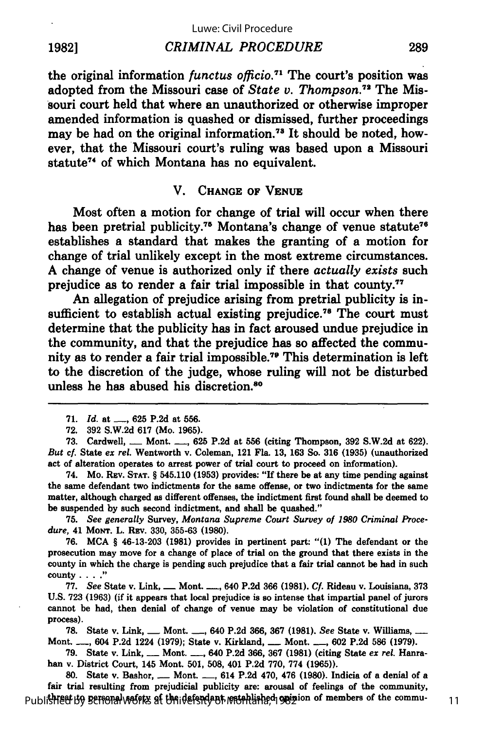#### **19821** *CRIMINAL PROCEDURE*

the original information *functus officio.7 <sup>1</sup>*The court's position was adopted from the Missouri case of *State v. Thompson.72* The Missouri court held that where an unauthorized or otherwise improper amended information is quashed or dismissed, further proceedings may be had on the original information.<sup>78</sup> It should be noted, however, that the Missouri court's ruling was based upon a Missouri statute<sup>74</sup> of which Montana has no equivalent.

#### V. **CHANGE** OF **VENUE**

Most often a motion for change of trial will occur when there has been pretrial publicity.<sup>75</sup> Montana's change of venue statute<sup>76</sup> establishes a standard that makes the granting of a motion for change of trial unlikely except in the most extreme circumstances. **A** change of venue is authorized only if there *actually exists* such prejudice as to render a fair trial impossible in that county."

An allegation of prejudice arising from pretrial publicity is insufficient to establish actual existing prejudice.<sup>78</sup> The court must determine that the publicity has in fact aroused undue prejudice in the community, and that the prejudice has so affected the community as to render a fair trial impossible.<sup>79</sup> This determination is left to the discretion of the judge, whose ruling will not be disturbed unless he has abused his discretion.<sup>80</sup>

**73.** Cardwell, **-** Mont. **-, 625 P.2d** at **556** (citing Thompson, **392 S.W.2d** at **622).** *But cf.* State *ex rel.* Wentworth v. Coleman, 121 Fla. **13, 163** So. **316 (1935)** (unauthorized act of alteration operates to arrest power of trial court to proceed on information).

74. Mo. **REV. STAT.** § 545.110 **(1953)** provides: **"If** there be at any time pending against the same defendant two indictments for the same offense, or two indictments for the same matter, although charged as different offenses, the indictment first found shall be deemed to be suspended **by** such second indictment, and shall be quashed."

**75.** *See generally* Survey, *Montana Supreme Court Survey of 1980 Criminal Procedure,* 41 **MoNT.** L. Rzv. **330, 355-63 (1980).**

**76. MCA** § 46-13-203 **(1981)** provides in pertinent part: **"(1)** The defendant or the prosecution may move for a change of place of trial on the ground that there exists in the county in which the charge is pending such prejudice that a fair trial cannot be had in such county **....** "

**77.** *See* State v. Link, **-** Mont. **-,** 640 **P.2d 366 (1981).** *Cf.* Rideau v. Louisiana, **373 U.S. 723 (1963)** (if it appears that local prejudice is so intense that impartial panel of jurors cannot be had, then denial of change of venue may be violation of constitutional due process).

**78.** State v. Link, **-** Mont. **-,** 640 **P.2d 366, 367 (1981).** *See* State v. Willians, - Mont. **-,** 604 **P.2d** 1224 **(1979);** State v. Kirkland, **-** Mont. **-, 602 P.2d 586 (1979).**

**79.** State v. Link, **-** Mont. **-,** 640 **P.2d 366, 367 (1981)** (citing State *ex rel.* Hanrahan v. District Court, 145 Mont. **501, 508,** 401 **P.2d 770, 774 (1965)).**

**80.** State v. Bashor, **-** Mont. **-,** 614 **P.2d** 470, 476 **(1980).** Indicia of a denial of a fair trial resulting from prejudicial publicity are: arousal of feelings of the community, Published by Bersonal weights at the defendant restablished opinion of members of the commu- 11

289

**<sup>71.</sup>** *Id.* at **-, 625 P.2d** at **556.**

**<sup>72. 392</sup> S.W.2d 617** (Mo. **1965).**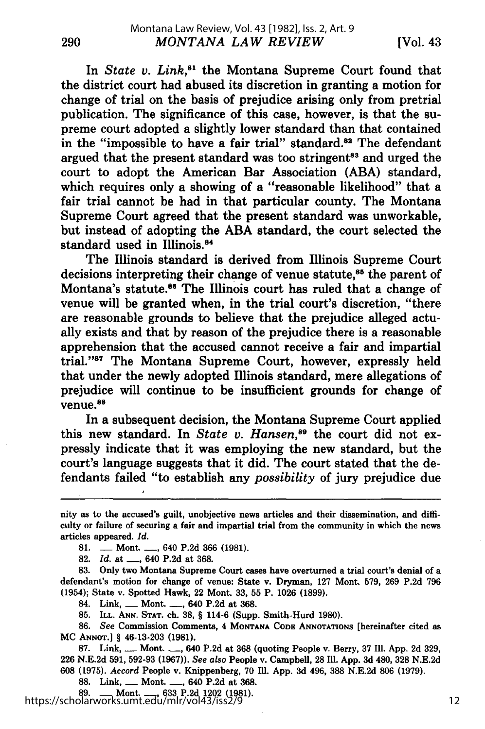290

In *State v. Link*,<sup>81</sup> the Montana Supreme Court found that the district court had abused its discretion in granting a motion for change of trial on the basis of prejudice arising only from pretrial publication. The significance of this case, however, is that the supreme court adopted a slightly lower standard than that contained in the "impossible to have a fair trial" standard.<sup>82</sup> The defendant argued that the present standard was too stringent<sup>83</sup> and urged the court to adopt the American Bar Association (ABA) standard, which requires only a showing of a "reasonable likelihood" that a fair trial cannot be had in that particular county. The Montana Supreme Court agreed that the present standard was unworkable, but instead of adopting the ABA standard, the court selected the standard used in Illinois.<sup>84</sup>

The Illinois standard is derived from Illinois Supreme Court decisions interpreting their change of venue statute,<sup>85</sup> the parent of Montana's statute.<sup>86</sup> The Illinois court has ruled that a change of venue will be granted when, in the trial court's discretion, "there are reasonable grounds to believe that the prejudice alleged actually exists and that **by** reason of the prejudice there is a reasonable apprehension that the accused cannot receive a fair and impartial trial. '87 The Montana Supreme Court, however, expressly held that under the newly adopted Illinois standard, mere allegations of prejudice will continue to be insufficient grounds for change of venue.<sup>86</sup>

In a subsequent decision, the Montana Supreme Court applied this new standard. In *State v. Hansen,89* the court did not expressly indicate that it was employing the new standard, but the court's language suggests that it did. The court stated that the defendants failed "to establish any *possibility* of jury prejudice due

81. **-** Mont. **-,** 640 **P.2d 366** (1981).

**82.** *Id.* at **-,** 640 P.2d at 368.

83. Only two Montana Supreme Court cases have overturned a trial court's denial of a defendant's motion for change of venue: State v. Dryman, 127 Mont. 579, 269 P.2d 796 (1954); State v. Spotted Hawk, 22 Mont. 33, 55 P. 1026 (1899).

84. Link, **-** Mont. **-**, 640 P.2d at 368.

85. ILL. **ANN. STAT.** ch. 38, § 114-6 (Supp. Smith-Hurd 1980).

86. *See* Commission Comments, 4 **MONTANA CODE ANNOTATIONS** [hereinafter cited as MC **ANNOT.]** § 46-13-203 **(1981).**

**87.** Link, \_\_ Mont. **-,** 640 **P.2d** at **368** (quoting People v. Berry, **37** Ill. **App. 2d 329, 226 N.E.2d 591, 592-93 (1967)).** *See also* People v. Campbell, **28 Ill. App. 3d** 480, **328 N.E.2d 608 (1975).** Accord People v. Knippenberg, **70 Ill. App. 3d** 496, **388 N.E.2d 806 (1979).**

**88.** Link, \_\_ Mont. **-,** 640 **P.2d** at **368.**

**89. -** Mont. **-, 633 P.2d** 1202 **(1981).** https://scholarworks.umt.edu/mlr/vol43/iss2/9

nity as to the accused's guilt, unobjective news articles and their dissemination, and difficulty or failure of securing a fair and impartial trial from the community in which the news articles appeared. *Id.*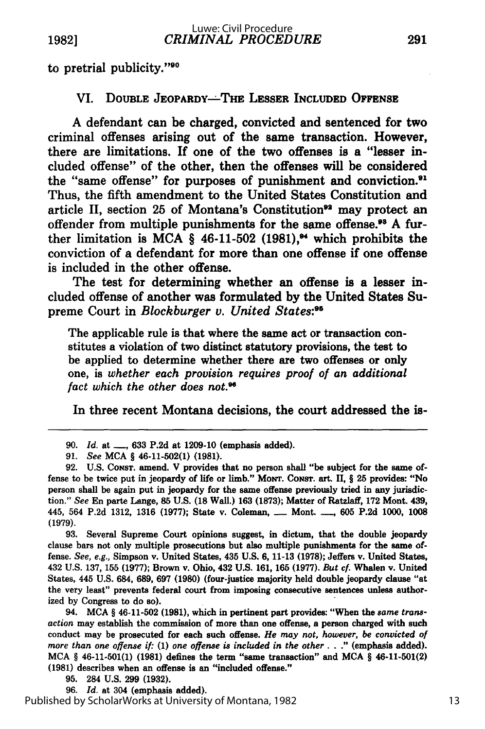to pretrial publicity."<sup>90</sup>

### VI. **DOUBLE JEOPARDY--THE LESSER INCLUDED OFFENSE**

**A** defendant can be charged, convicted and sentenced for two criminal offenses arising out of the same transaction. However, there are limitations. If one of the two offenses is a "lesser included offense" of the other, then the offenses will be considered the "same offense" for purposes of punishment and conviction.<sup>91</sup> Thus, the fifth amendment to the United States Constitution and article II, section 25 of Montana's Constitution<sup>92</sup> may protect an offender from multiple punishments for the same offense.<sup>93</sup> A further limitation is **MCA §** 46-11-502 **(1981),"** which prohibits the conviction of a defendant for more than one offense if one offense is included in the other offense.

The test for determining whether an offense is a lesser included offense of another was formulated **by** the United States Supreme Court in *Blockburger v. United States:9*

The applicable rule is that where the same act or transaction constitutes a violation of two distinct statutory provisions, the test to be applied to determine whether there are two offenses or only one, is *whether each provision requires proof of an additional fact which the other does not."*

In three recent Montana decisions, the court addressed the is-

**93.** Several Supreme Court opinions suggest, in dictum, that the double jeopardy clause bars not only multiple prosecutions but also multiple punishments for the same offense. *See, e.g.,* Simpson v. United States, 435 **U.S. 6, 11-13 (1978);** Jeffers v. United States, 432 **U.S. 137, 155 (1977);** Brown v. Ohio, 432 **U.S. 161, 165 (1977).** *But cf.* Whalen v. United States, 445 **U.S.** 684, **689, 697 (1980)** (four-justice majority held double jeopardy clause "at the very least" prevents federal court from imposing consecutive sentences unless authorized **by** Congress to do so).

94. **MCA §** 46-11-502 **(1981),** which in pertinent part provides: "When the *same transaction* may establish the commission of more than one offense, a person charged with such conduct may be prosecuted for each such offense. *He may not, however, be convicted of more than one offense if:* **(1)** *one offense is included in the other.* **. ."** (emphasis added). **MCA §** 46-11-501(1) **(1981)** defines the term "same transaction" and **MCA §** 46-11-501(2) **(1981)** describes when an offense is an "included offense."

**95.** 284 **U.S. 299 (1932).**

**96.** *Id.* at 304 (emphasis added).

**<sup>90.</sup>** *Id.* at **-, 633 P.2d** at **1209-10** (emphasis added).

**<sup>91.</sup>** *See* **MCA** § 46-11-502(1) **(1981).**

**<sup>92.</sup> U.S. CONST.** amend. V provides that no person shall "be subject for the same offense to be twice put in jeopardy of life or limb." **MoNT. CONST.** art. II, § 25 provides: "No person shall be again put in jeopardy for the same offense previously tried in any jurisdiction." *See* En parte Lange, **85 U.S. (18** Wall.) **163 (1873);** Matter of Ratzlaff, **172** Mont. 439, 445, 564 **P.2d 1312, 1316 (1977);** State v. Coleman, **-** Mont. **-, 605 P.2d 1000, 1008 (1979).**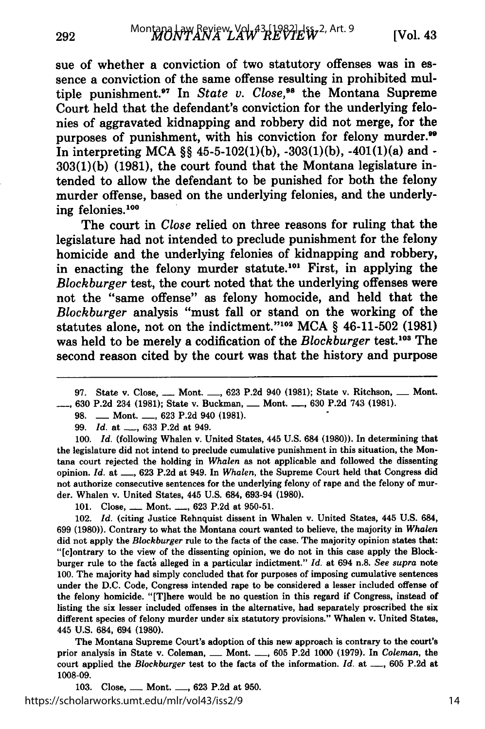sue of whether a conviction of two statutory offenses was in essence a conviction of the same offense resulting in prohibited multiple punishment.<sup>97</sup> In *State v. Close*,<sup>98</sup> the Montana Supreme Court held that the defendant's conviction for the underlying felonies of aggravated kidnapping and robbery did not merge, for the purposes of punishment, with his conviction for felony murder.<sup>99</sup> In interpreting **MCA §§ 45-5-102(1)(b), -303(1)(b),** -401(1)(a) and **- 303(1)(b) (1981),** the court found that the Montana legislature intended to allow the defendant to be punished for both the felony murder offense, based on the underlying felonies, and the underlying felonies.100

The court in *Close* relied on three reasons for ruling that the legislature had not intended to preclude punishment for the felony homicide and the underlying felonies of kidnapping and robbery, in enacting the felony murder statute.<sup>101</sup> First, in applying the *Blockburger* test, the court noted that the underlying offenses were not the "same offense" as felony homocide, and held that the *Blockburger* analysis "must fall or stand on the working of the statutes alone, not on the indictment."0 2 **MCA §** 46-11-502 **(1981)** was held to be merely a codification of the *Blockburger* test.<sup>103</sup> The second reason cited **by** the court was that the history and purpose

**98. -** Mont. **-, 623 P.2d** 940 **(1981).**

**99.** *Id.* at **\_\_, 633 P.2d** at 949.

*100. Id.* (following Whalen v. United States, 445 **U.S.** 684 **(1980)).** In determining that the legislature did not intend to preclude cumulative punishment in this situation, the Montana court rejected the holding in *Whalen* as not applicable and followed the dissenting opinion. *Id.* at **-, 623 P.2d** at 949. In *Whalen,* the Supreme Court held that Congress did not authorize consecutive sentences for the underlying felony of rape and the felony of murder. Whalen v. United States, 445 **U.S.** 684, **693-94 (1980).**

101. Close, <u>-- Mont.</u> <sub>--,</sub> 623 P.2d at 950-51.

102. *Id.* (citing Justice Rehnquist dissent in Whalen v. United States, 445 **U.S.** 684, **699 (1980)).** Contrary to what the Montana court wanted to believe, the majority in *Whalen* did not apply the *Blockburger* rule to the facts of the case. The majority opinion states that: "[ciontrary to the view of the dissenting opinion, we do not in this case apply the **Block**burger rule to the facts alleged in a particular indictment." *Id.* at 694 n.8. *See supra* note **100.** The majority had simply concluded that for purposes of imposing cumulative sentences under the **D.C.** Code, Congress intended rape to be considered a lesser included offense of the felony homicide. "[T]here would be no question in this regard if Congress, instead of listing the six lesser included offenses in the alternative, had separately proscribed the six different species of felony murder under six statutory provisions." Whalen v. United States, 445 **U.S.** 684, 694 **(1980).**

The Montana Supreme Court's adoption of this new approach is contrary to the court's prior analysis in State v. Coleman, **-** Mont. **-, 605 P.2d 1000 (1979).** In *Coleman,* the court applied the *Blockburger* test to the facts of the information. *Id.* at **-, 605 P.2d** at **1008-09.**

**103.** Close, **-** Mont. **-, 623 P.2d** at **950.** https://scholarworks.umt.edu/mlr/vol43/iss2/9

**<sup>97.</sup>** State v. Close, **-** Mont. **-, 623 P.2d** 940 **(1981);** State v. Ritchson, **-** Mont. **630 P.2d** 234 **(1981);** State v. Buckman, **-** Mont. **-, 630 P.2d** 743 **(1981).**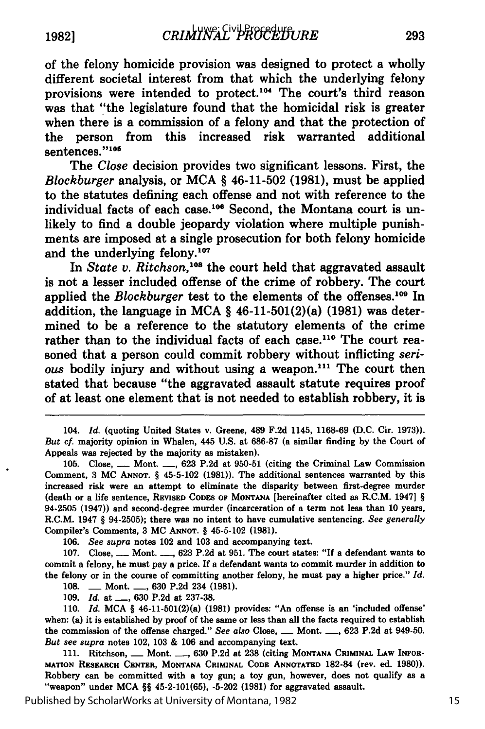of the felony homicide provision was designed to protect a wholly different societal interest from that which the underlying felony provisions were intended to protect.104 The court's third reason was that "the legislature found that the homicidal risk is greater when there is a commission of a felony and that the protection of the person from this increased risk warranted additional sentences."105

The *Close* decision provides two significant lessons. First, the *Blockburger* analysis, or **MCA §** 46-11-502 **(1981),** must be applied to the statutes defining each offense and not with reference to the individual facts of each case.<sup>106</sup> Second, the Montana court is unlikely to find a double jeopardy violation where multiple punishments are imposed at a single prosecution for both felony homicide and the underlying felony.<sup>107</sup>

In *State v. Ritchson*,<sup>108</sup> the court held that aggravated assault is not a lesser included offense of the crime of robbery. The court applied the *Blockburger* test to the elements of the offenses.<sup>109</sup> In addition, the language in **MCA §** 46-11-501(2)(a) **(1981)** was determined to be a reference to the statutory elements of the crime rather than to the individual facts of each case.<sup>110</sup> The court reasoned that a person could commit robbery without inflicting *serious* bodily injury and without using a weapon.<sup>111</sup> The court then stated that because "the aggravated assault statute requires proof of at least one element that is not needed to establish robbery, it is

104. *Id.* (quoting United States v. Greene, 489 **F.2d** 1145, **1168-69 (D.C.** Cir. **1973)).** But cf. majority opinion in Whalen, 445 **U.S.** at **686-87** (a similar finding **by** the Court of Appeals was rejected **by** the majority as mistaken).

**105.** Close, **-** Mont. **-, 623 P.2d** at **950-51** (citing the Criminal Law Commission Comment, **3 MC ANNOT. §** 45-5-102 **(1981)).** The additional sentences warranted **by** this increased risk were an attempt to eliminate the disparity between first-degree murder (death or a life sentence, **REVISED CODES OF MONTANA** [hereinafter cited as R.C.M. 1947] **§** 94-2505 (1947)) and second-degree murder (incarceration of a term not less than **10** years, R.C.M. 1947 **§** 94-2505); there was no intent to have cumulative sentencing. *See generally* Compiler's Comments, **3 MC ANNOT. §** 45-5-102 **(1981).**

*106. See supra* notes 102 and **103** and accompanying text.

**107.** Close, **-** Mont. **-, 623 P.2d** at **951.** The court states: "If a defendant wants to commit a felony, he must pay a price. **If** a defendant wants to commit murder in addition to the felony or in the course of committing another felony, he must pay a higher price." *Id.* **108. -** Mont. **-, 630 P.2d** 234 **(1981).**

**109.** *Id.* at **-, 630 P.2d** at **237-38.**

**110.** *Id.* **MCA §** 46-11-501(2)(a) **(1981)** provides: "An offense is an 'included offense' when: (a) it is established **by** proof of the same or less than all the facts required to establish the commission of the offense charged." *See also* Close, **-** Mont. **-, 623 P.2d** at 949-50. *But see supra* notes 102, **103 & 106** and accompanying text.

**111.** Ritchson, **-** Mont. **-, 630 P.2d** at **238** (citing **MONTANA CRIMINAL LAW INFOR-MATION RESEARCH CENTER, MONTANA CRIMINAL CODE ANNOTATED 182-84** (rev. **ed. 1980)).** Robbery can be committed with a toy gun; a toy gun, however, does not qualify as a "weapon" under **MCA §§** 45-2-101(65), **-5-202 (1981)** for aggravated assault.